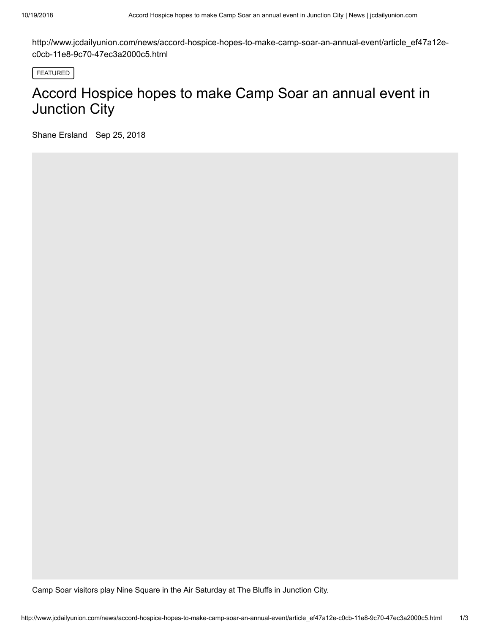http://www.jcdailyunion.com/news/accord-hospice-hopes-to-make-camp-soar-an-annual-event/article\_ef47a12ec0cb-11e8-9c70-47ec3a2000c5.html

FEATURED

## Accord Hospice hopes to make Camp Soar an annual event in Junction City

Shane Ersland Sep 25, 2018

Camp Soar visitors play Nine Square in the Air Saturday at The Bluffs in Junction City.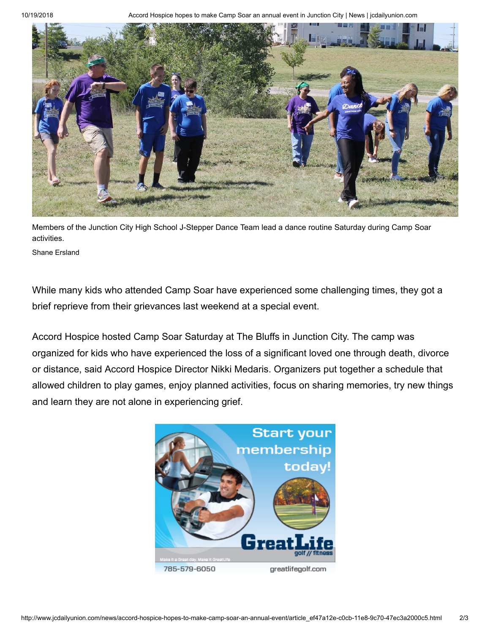10/19/2018 Accord Hospice hopes to make Camp Soar an annual event in Junction City | News | jcdailyunion.com



Members of the Junction City High School J-Stepper Dance Team lead a dance routine Saturday during Camp Soar activities.

Shane Ersland

While many kids who attended Camp Soar have experienced some challenging times, they got a brief reprieve from their grievances last weekend at a special event.

Accord Hospice hosted Camp Soar Saturday at The Bluffs in Junction City. The camp was organized for kids who have experienced the loss of a significant loved one through death, divorce or distance, said Accord Hospice Director Nikki Medaris. Organizers put together a schedule that allowed children to play games, enjoy planned activities, focus on sharing memories, try new things and learn they are not alone in experiencing grief.